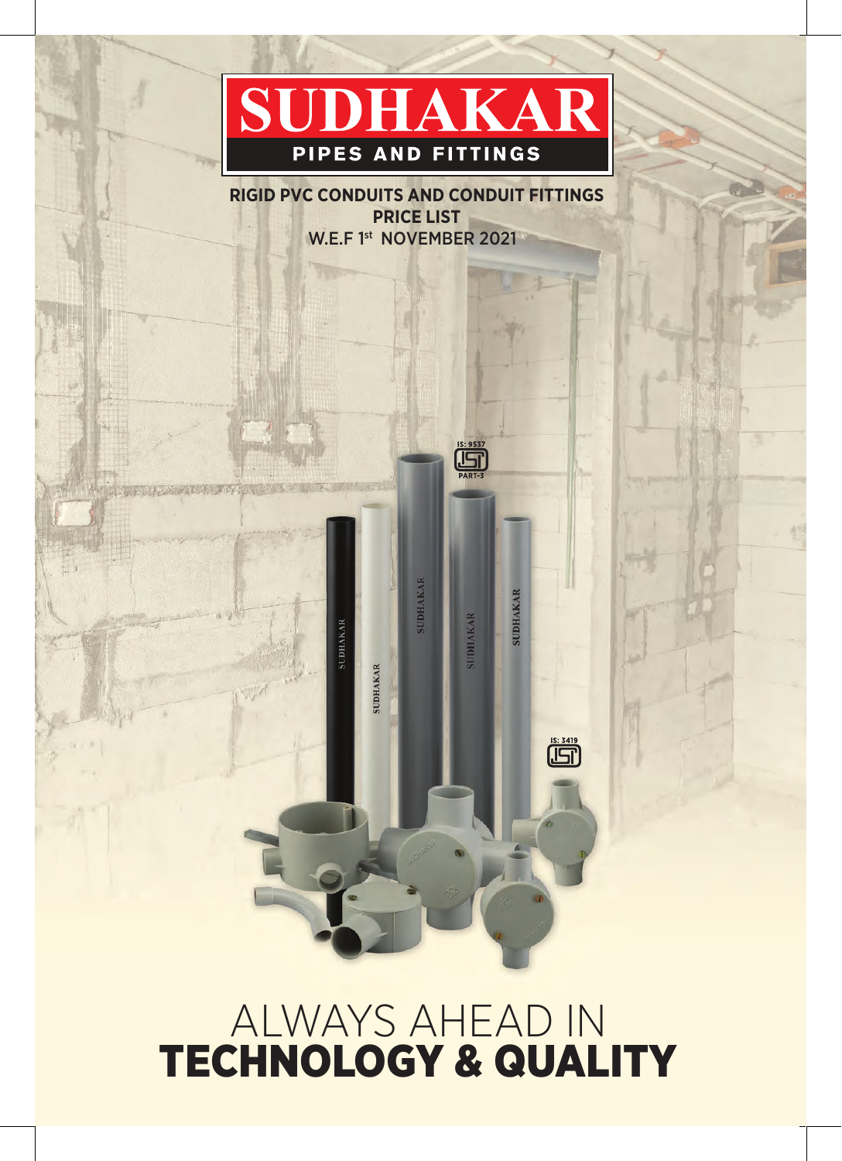# SUDHAKAR PIPES AND FITTINGS

**RIGID PVC CONDUITS AND CONDUIT FITTINGS PRICE LIST** W.E.F 1<sup>st</sup> NOVEMBER 2021

**SUDHAKAR** 

**SUDHAKAR** 

**SUDHAKAR** 

 $\begin{array}{c}\n 1S: 9537 \\
\hline\n \end{array}$ 

**SUDHAKAR** 

**SUDHAKAR** 

 $\overline{\prod_{i=1}^{1S: 3419}}$ 

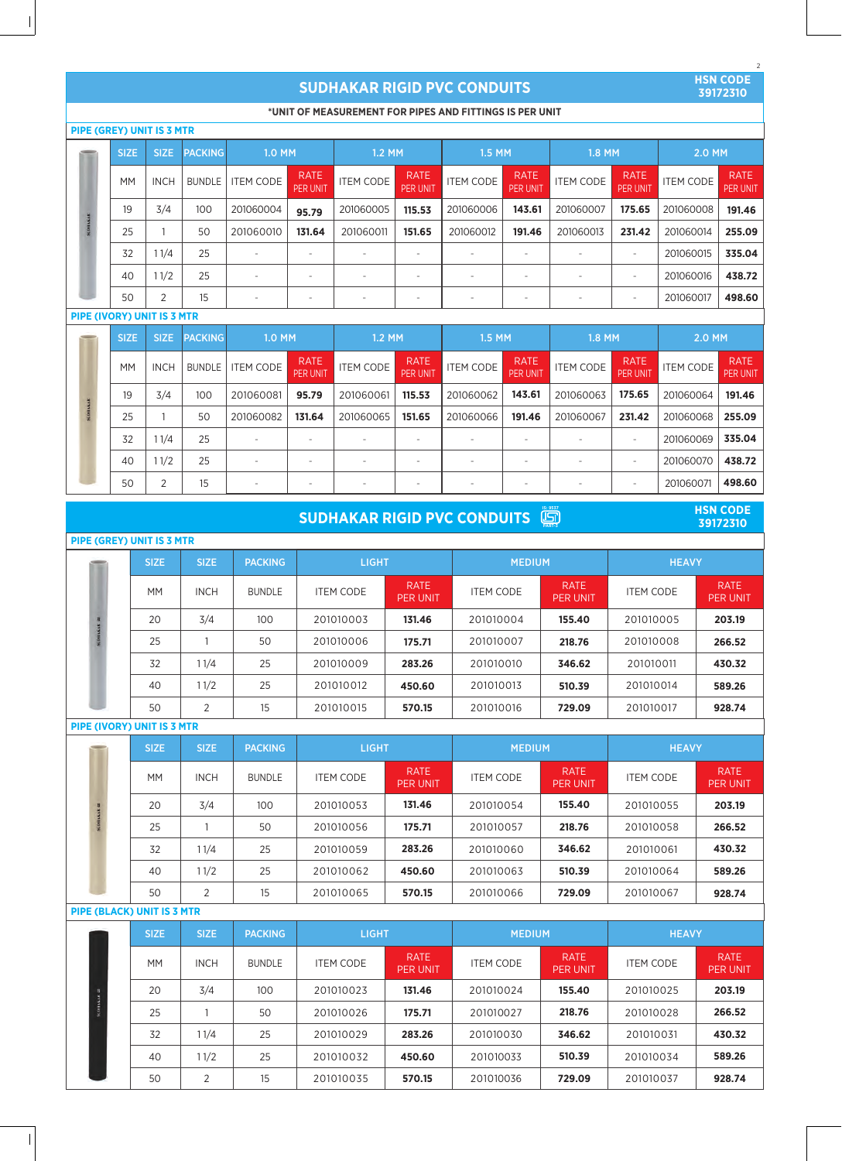## **SUDHAKAR RIGID PVC CONDUITS**

**HSN CODE 39172310**

2

## **\*UNIT OF MEASUREMENT FOR PIPES AND FITTINGS IS PER UNIT**

|  |             | <b>PIPE (GREY) UNIT IS 3 MTR</b> |                |                          |                                |                  |                                |                          |                                |                  |                                |                  |                         |
|--|-------------|----------------------------------|----------------|--------------------------|--------------------------------|------------------|--------------------------------|--------------------------|--------------------------------|------------------|--------------------------------|------------------|-------------------------|
|  | <b>SIZE</b> | SIZE:                            | <b>PACKING</b> | 1.0 MM                   |                                | 1.2 MM           |                                | 1.5 MM                   |                                | 1.8 MM           |                                | 2.0 MM           |                         |
|  | <b>MM</b>   | <b>INCH</b>                      | <b>BUNDLE</b>  | <b>ITEM CODE</b>         | <b>RATE</b><br><b>PER UNIT</b> | <b>ITEM CODE</b> | <b>RATE</b><br><b>PER UNIT</b> | <b>ITEM CODE</b>         | <b>RATE</b><br><b>PER UNIT</b> | <b>ITEM CODE</b> | <b>RATE</b><br><b>PER UNIT</b> | <b>ITEM CODE</b> | <b>RATE</b><br>PER UNIT |
|  | 19          | 3/4                              | 100            | 201060004                | 95.79                          | 201060005        | 115.53                         | 201060006                | 143.61                         | 201060007        | 175.65                         | 201060008        | 191.46                  |
|  | 25          |                                  | 50             | 201060010                | 131.64                         | 201060011        | 151.65                         | 201060012                | 191.46                         | 201060013        | 231.42                         | 201060014        | 255.09                  |
|  | 32          | 11/4                             | 25             |                          |                                |                  |                                |                          |                                |                  |                                | 201060015        | 335.04                  |
|  | 40          | 11/2                             | 25             | $\overline{\phantom{a}}$ | $\overline{\phantom{a}}$       |                  |                                |                          | $\overline{\phantom{a}}$       |                  |                                | 201060016        | 438.72                  |
|  | 50          | 2                                | 15             | $\overline{\phantom{m}}$ | $\overline{\phantom{a}}$       |                  |                                | $\overline{\phantom{a}}$ | $\overline{\phantom{a}}$       |                  |                                | 201060017        | 498.60                  |

## **PIPE (IVORY) UNIT IS 3 MTR**

 $\begin{array}{c} \hline \end{array}$ 

|       | <b>SIZE</b> | <b>SIZE</b> | <b>PACKING</b> | 1.0 MM    |                                | $1.2$ MM         |                                | 1.5 MM           |                                | 1.8 MM           |                                | 2.0 MM           |                         |
|-------|-------------|-------------|----------------|-----------|--------------------------------|------------------|--------------------------------|------------------|--------------------------------|------------------|--------------------------------|------------------|-------------------------|
|       | <b>MM</b>   | <b>INCH</b> | <b>BUNDLE</b>  | ITEM CODE | <b>RATE</b><br><b>PER UNIT</b> | <b>ITEM CODE</b> | <b>RATE</b><br><b>PER UNIT</b> | <b>ITEM CODE</b> | <b>RATE</b><br><b>PER UNIT</b> | <b>ITEM CODE</b> | <b>RATE</b><br><b>PER UNIT</b> | <b>ITEM CODE</b> | <b>RATE</b><br>PER UNIT |
| BAKAR | 19          | 3/4         | 100            | 201060081 | 95.79                          | 201060061        | 115.53                         | 201060062        | 143.61                         | 201060063        | 175.65                         | 201060064        | 191.46                  |
|       | 25          |             | 50             | 201060082 | 131.64                         | 201060065        | 151.65                         | 201060066        | 191.46                         | 201060067        | 231.42                         | 201060068        | 255.09                  |
|       | 32          | l 1/4       | 25             | ۰         |                                |                  | -                              | -                | -                              |                  |                                | 201060069        | 335.04                  |
|       | 40          | 11/2        | 25             |           |                                |                  |                                | ٠                | ۰                              |                  |                                | 201060070        | 438.72                  |
|       | 50          | 2           | 15             |           |                                |                  |                                |                  | ۰                              |                  |                                | 201060071        | 498.60                  |

| $\left(\begin{array}{c}\n 15:9537 \\  \boxed{15}\n \end{array}\right)$ PART-3<br><b>HSN CODE</b><br><b>SUDHAKAR RIGID PVC CONDUITS</b><br>39172310 |                                   |             |                |                  |                                |                  |                                |                  |                                |  |  |  |
|----------------------------------------------------------------------------------------------------------------------------------------------------|-----------------------------------|-------------|----------------|------------------|--------------------------------|------------------|--------------------------------|------------------|--------------------------------|--|--|--|
| <b>PIPE (GREY) UNIT IS 3 MTR</b>                                                                                                                   |                                   |             |                |                  |                                |                  |                                |                  |                                |  |  |  |
|                                                                                                                                                    | <b>SIZE</b>                       | <b>SIZE</b> | <b>PACKING</b> | <b>LIGHT</b>     |                                | <b>MEDIUM</b>    |                                | <b>HEAVY</b>     |                                |  |  |  |
|                                                                                                                                                    | <b>MM</b>                         | <b>INCH</b> | <b>BUNDLE</b>  | <b>ITEM CODE</b> | <b>RATE</b><br><b>PER UNIT</b> | <b>ITEM CODE</b> | <b>RATE</b><br><b>PER UNIT</b> | <b>ITEM CODE</b> | <b>RATE</b><br><b>PER UNIT</b> |  |  |  |
|                                                                                                                                                    | 20                                | 3/4         | 100            | 201010003        | 131.46                         | 201010004        | 155.40                         | 201010005        | 203.19                         |  |  |  |
|                                                                                                                                                    | 25                                |             | 50             | 201010006        | 175.71                         | 201010007        | 218,76                         | 201010008        | 266.52                         |  |  |  |
|                                                                                                                                                    | 32                                | 11/4        | 25             | 201010009        | 283.26                         | 201010010        | 346.62                         | 201010011        | 430.32                         |  |  |  |
|                                                                                                                                                    | 40                                | 11/2        | 25             | 201010012        | 450.60                         | 201010013        | 510.39                         | 201010014        | 589.26                         |  |  |  |
|                                                                                                                                                    | 50                                | 2           | 15             | 201010015        | 570.15                         | 201010016        | 729.09                         | 201010017        | 928.74                         |  |  |  |
|                                                                                                                                                    | <b>PIPE (IVORY) UNIT IS 3 MTR</b> |             |                |                  |                                |                  |                                |                  |                                |  |  |  |
|                                                                                                                                                    | <b>SIZE</b>                       | <b>SIZE</b> | <b>PACKING</b> | <b>LIGHT</b>     |                                | <b>MEDIUM</b>    |                                | <b>HEAVY</b>     |                                |  |  |  |
|                                                                                                                                                    | <b>MM</b>                         | <b>INCH</b> | <b>BUNDLE</b>  | <b>ITEM CODE</b> | <b>RATE</b><br><b>PER UNIT</b> | <b>ITEM CODE</b> | <b>RATE</b><br><b>PER UNIT</b> | <b>ITEM CODE</b> | <b>RATE</b><br><b>PER UNIT</b> |  |  |  |

|  | 20     | 3/4 | 100 | 201010053 | 131.46 | 201010054 | 155.40 | 201010055 | 203.19 |
|--|--------|-----|-----|-----------|--------|-----------|--------|-----------|--------|
|  | 25     |     | 50  | 201010056 | 175.71 | 201010057 | 218.76 | 201010058 | 266.52 |
|  | 32     | 1/4 | 25  | 201010059 | 283.26 | 201010060 | 346.62 | 201010061 | 430.32 |
|  | 40     | 1/2 | 25  | 201010062 | 450.60 | 201010063 | 510.39 | 201010064 | 589.26 |
|  | 50     |     | 15  | 201010065 | 570.15 | 201010066 | 729.09 | 201010067 | 928.74 |
|  | -- .-- |     |     |           |        |           |        |           |        |

## **PIPE (BLACK) UNIT IS 3 MTR**

| <b>SIZE</b> | <b>SIZE</b>    | <b>PACKING</b> | <b>LIGHT</b>     |                                | <b>MEDIUM</b>    |                                | <b>HEAVY</b>     |                                |  |
|-------------|----------------|----------------|------------------|--------------------------------|------------------|--------------------------------|------------------|--------------------------------|--|
| <b>MM</b>   | <b>INCH</b>    | <b>BUNDLE</b>  | <b>ITEM CODE</b> | <b>RATE</b><br><b>PER UNIT</b> | <b>ITEM CODE</b> | <b>RATE</b><br><b>PER UNIT</b> | <b>ITEM CODE</b> | <b>RATE</b><br><b>PER UNIT</b> |  |
| 20          | 3/4            | 100            | 201010023        | 131.46                         | 201010024        | 155.40                         | 201010025        | 203.19                         |  |
| 25          |                | 50             | 201010026        | 175.71                         | 201010027        | 218.76                         | 201010028        | 266.52                         |  |
| 32          | 11/4           | 25             | 201010029        | 283.26                         | 201010030        | 346.62                         | 201010031        | 430.32                         |  |
| 40          | 11/2           | 25             | 201010032        | 450.60                         | 201010033        | 510.39                         | 201010034        | 589.26                         |  |
| 50          | $\overline{2}$ | 15             | 201010035        | 570.15                         | 201010036        | 729.09                         | 201010037        | 928.74                         |  |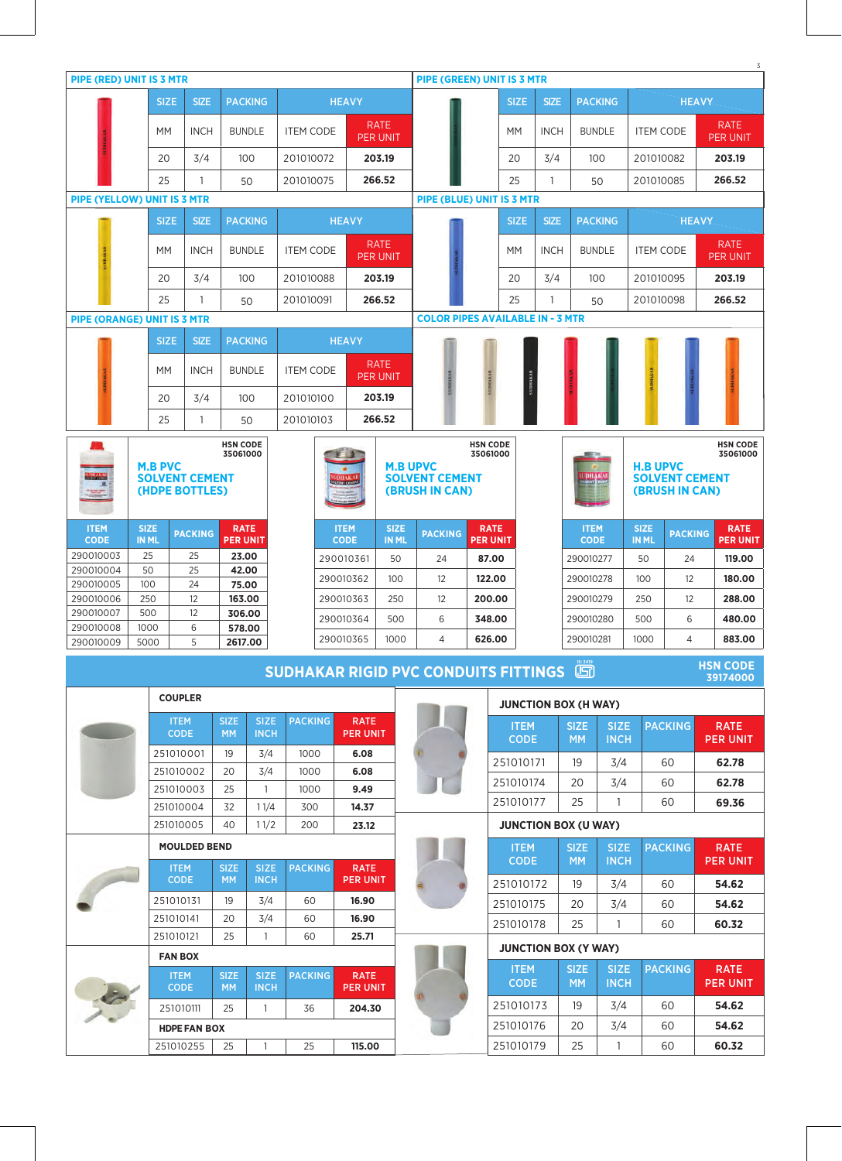|                                    |                             |                                         |                          |                                |                  |                            |                                |                             |                                                |                                |                             |             |                            |                            |                             |                                         |              | 3                              |
|------------------------------------|-----------------------------|-----------------------------------------|--------------------------|--------------------------------|------------------|----------------------------|--------------------------------|-----------------------------|------------------------------------------------|--------------------------------|-----------------------------|-------------|----------------------------|----------------------------|-----------------------------|-----------------------------------------|--------------|--------------------------------|
| <b>PIPE (RED) UNIT IS 3 MTR</b>    |                             |                                         |                          |                                |                  |                            |                                |                             | <b>PIPE (GREEN) UNIT IS 3 MTR</b>              |                                |                             |             |                            |                            |                             |                                         |              |                                |
|                                    | <b>SIZE</b>                 | <b>SIZE</b>                             |                          | <b>PACKING</b>                 |                  | <b>HEAVY</b>               |                                |                             |                                                |                                | <b>SIZE</b>                 | <b>SIZE</b> |                            | <b>PACKING</b>             |                             |                                         | <b>HEAVY</b> |                                |
|                                    | МM                          | <b>INCH</b>                             |                          | <b>BUNDLE</b>                  | <b>ITEM CODE</b> |                            | <b>RATE</b><br><b>PER UNIT</b> |                             |                                                |                                | МM                          | <b>INCH</b> |                            | <b>BUNDLE</b>              | <b>ITEM CODE</b>            |                                         |              | <b>RATE</b><br><b>PER UNIT</b> |
|                                    | 20                          | 3/4                                     |                          | 100                            | 201010072        |                            | 203.19                         |                             |                                                |                                | 20                          | 3/4         |                            | 100                        | 201010082                   |                                         |              | 203.19                         |
|                                    | 25                          | 1                                       |                          | 50                             | 201010075        |                            | 266.52                         |                             |                                                |                                | 25                          | 1           |                            | 50                         | 201010085                   |                                         |              | 266.52                         |
| PIPE (YELLOW) UNIT IS 3 MTR        |                             |                                         |                          |                                |                  |                            |                                |                             | PIPE (BLUE) UNIT IS 3 MTR                      |                                |                             |             |                            |                            |                             |                                         |              |                                |
|                                    | <b>SIZE</b>                 | <b>SIZE</b>                             |                          | <b>PACKING</b>                 |                  | <b>HEAVY</b>               |                                |                             |                                                |                                | <b>SIZE</b>                 | <b>SIZE</b> |                            | <b>PACKING</b>             |                             |                                         | <b>HEAVY</b> |                                |
|                                    | <b>MM</b>                   | <b>INCH</b>                             |                          | <b>BUNDLE</b>                  | <b>ITEM CODE</b> |                            | <b>RATE</b><br><b>PER UNIT</b> |                             |                                                |                                | <b>MM</b>                   | <b>INCH</b> |                            | <b>BUNDLE</b>              | <b>ITEM CODE</b>            |                                         |              | <b>RATE</b><br>PER UNIT        |
|                                    | 20                          | 3/4                                     |                          | 100                            | 201010088        |                            | 203.19                         |                             |                                                |                                | 20                          | 3/4         |                            | 100                        | 201010095                   |                                         |              | 203.19                         |
|                                    | 25                          | 1                                       |                          | 50                             | 201010091        |                            | 266.52                         |                             |                                                |                                | 25                          | 1           |                            | 50                         | 201010098                   |                                         |              | 266.52                         |
| <b>PIPE (ORANGE) UNIT IS 3 MTR</b> |                             |                                         |                          |                                |                  |                            |                                |                             | <b>COLOR PIPES AVAILABLE IN - 3 MTR</b>        |                                |                             |             |                            |                            |                             |                                         |              |                                |
|                                    | <b>SIZE</b>                 | <b>SIZE</b>                             |                          | <b>PACKING</b>                 |                  | <b>HEAVY</b>               |                                |                             |                                                |                                |                             |             |                            |                            |                             |                                         |              |                                |
|                                    | МM                          | <b>INCH</b>                             |                          | <b>BUNDLE</b>                  | <b>ITEM CODE</b> |                            | <b>RATE</b><br><b>PER UNIT</b> |                             | <b>SUDHAKAI</b>                                | <b>SUDHAKAB</b>                | <b>SUDHAKAB</b>             |             |                            |                            |                             |                                         |              |                                |
|                                    | 20                          | 3/4                                     |                          | 100                            | 201010100        |                            | 203.19                         |                             |                                                |                                |                             |             |                            |                            |                             |                                         |              |                                |
|                                    | 25                          | $\mathbf{1}$                            |                          | 50                             | 201010103        |                            | 266.52                         |                             |                                                |                                |                             |             |                            |                            |                             |                                         |              |                                |
|                                    |                             |                                         | <b>HSN CODE</b>          |                                |                  |                            |                                |                             |                                                | <b>HSN CODE</b>                |                             |             |                            |                            |                             |                                         |              | <b>HSN CODE</b>                |
|                                    | <b>M.B PVC</b>              |                                         | 35061000                 |                                |                  |                            |                                |                             | <b>M.B UPVC</b>                                | 35061000                       |                             |             |                            |                            | <b>H.B UPVC</b>             |                                         |              | 35061000                       |
| <b>DHAKAR</b>                      |                             | <b>SOLVENT CEMENT</b><br>(HDPE BOTTLES) |                          |                                |                  |                            |                                |                             | <b>SOLVENT CEMENT</b><br>(BRUSH IN CAN)        |                                |                             |             | <b>UDHAKA</b><br>Seema     |                            |                             | <b>SOLVENT CEMENT</b><br>(BRUSH IN CAN) |              |                                |
| $\frac{1}{2}$                      |                             |                                         |                          |                                |                  |                            |                                |                             |                                                |                                |                             |             |                            |                            |                             |                                         |              |                                |
| <b>ITEM</b><br><b>CODE</b>         | <b>SIZE</b><br><b>IN ML</b> | <b>PACKING</b>                          |                          | <b>RATE</b><br><b>PER UNIT</b> |                  | <b>ITEM</b><br><b>CODE</b> |                                | <b>SIZE</b><br><b>IN ML</b> | <b>PACKING</b>                                 | <b>RATE</b><br><b>PER UNIT</b> |                             |             | <b>ITEM</b><br><b>CODE</b> |                            | <b>SIZE</b><br><b>IN ML</b> | <b>PACKING</b>                          |              | <b>RATE</b><br><b>PER UNIT</b> |
| 290010003                          | 25                          | 25                                      |                          | 23.00                          |                  | 290010361                  |                                | 50                          | 24                                             | 87.00                          |                             |             | 290010277                  |                            | 50                          | 24                                      |              | 119.00                         |
| 290010004                          | 50                          | 25                                      |                          | 42.00                          |                  | 290010362                  |                                | 100                         | 12                                             | 122.00                         |                             |             | 290010278                  |                            | 100                         | 12                                      |              | 180.00                         |
| 290010005<br>290010006             | 100<br>250                  | 24<br>12                                |                          | 75.00<br>163.00                |                  | 290010363                  |                                | 250                         | 12                                             | 200.00                         |                             |             | 290010279                  |                            | 250                         | 12                                      |              | 288.00                         |
| 290010007                          | 500                         | 12                                      |                          | 306.00                         |                  | 290010364                  |                                | 500                         | 6                                              | 348.00                         |                             |             | 290010280                  |                            | 500                         | 6                                       |              | 480.00                         |
| 290010008<br>290010009             | 1000<br>5000                | 6<br>5                                  |                          | 578.00<br>2617.00              |                  | 290010365                  |                                | 1000                        | $\overline{4}$                                 | 626.00                         |                             |             | 290010281                  |                            | 1000                        | $\overline{4}$                          |              | 883.00                         |
|                                    |                             |                                         |                          |                                |                  |                            |                                |                             |                                                |                                |                             |             |                            |                            |                             |                                         |              | <b>HSN CODE</b>                |
|                                    |                             |                                         |                          |                                |                  |                            |                                |                             | <b>SUDHAKAR RIGID PVC CONDUITS FITTINGS GO</b> |                                |                             |             |                            |                            |                             |                                         |              | 39174000                       |
|                                    |                             | <b>COUPLER</b>                          |                          |                                |                  |                            |                                |                             |                                                |                                | <b>JUNCTION BOX (H WAY)</b> |             |                            |                            |                             |                                         |              |                                |
|                                    |                             | <b>ITEM</b><br><b>CODE</b>              | <b>SIZE</b><br><b>MM</b> | <b>SIZE</b><br><b>INCH</b>     | <b>PACKING</b>   |                            | <b>RATE</b><br><b>PER UNIT</b> |                             |                                                |                                | <b>ITEM</b>                 |             | <b>SIZE</b>                | <b>SIZE</b>                |                             | <b>PACKING</b>                          |              | <b>RATE</b>                    |
|                                    |                             | 251010001                               | 19                       | 3/4                            | 1000             |                            | 6.08                           |                             |                                                |                                | <b>CODE</b>                 |             | <b>MM</b>                  | <b>INCH</b>                |                             |                                         |              | <b>PER UNIT</b>                |
|                                    |                             | 251010002                               | 20                       | 3/4                            | 1000             |                            | 6.08                           |                             |                                                |                                | 251010171                   |             | 19                         | 3/4                        |                             | 60                                      |              | 62.78                          |
|                                    |                             | 251010003                               | 25                       | $\overline{1}$                 | 1000             |                            | 9.49                           |                             |                                                |                                | 251010174                   |             | 20                         | 3/4                        |                             | 60                                      |              | 62.78                          |
|                                    |                             | 251010004                               | 32                       | 11/4                           | 300              |                            | 14.37                          |                             |                                                |                                | 251010177                   |             | 25                         | 1                          |                             | 60                                      |              | 69.36                          |
|                                    |                             | 251010005                               | 40                       | 11/2                           | 200              |                            | 23.12                          |                             |                                                |                                | <b>JUNCTION BOX (U WAY)</b> |             |                            |                            |                             |                                         |              |                                |
|                                    |                             | <b>MOULDED BEND</b>                     |                          |                                |                  |                            |                                |                             |                                                |                                | <b>ITEM</b><br><b>CODE</b>  |             | <b>SIZE</b><br><b>MM</b>   | <b>SIZE</b><br><b>INCH</b> |                             | <b>PACKING</b>                          |              | <b>RATE</b><br><b>PER UNIT</b> |
|                                    |                             | <b>ITEM</b><br><b>CODE</b>              | <b>SIZE</b><br><b>MM</b> | <b>SIZE</b><br><b>INCH</b>     | <b>PACKING</b>   |                            | <b>RATE</b><br><b>PER UNIT</b> |                             |                                                |                                | 251010172                   |             | 19                         | 3/4                        |                             | 60                                      |              | 54.62                          |
|                                    |                             | 251010131                               | 19                       | 3/4                            | 60               |                            | 16.90                          |                             |                                                |                                | 251010175                   |             | 20                         | 3/4                        |                             | 60                                      |              | 54.62                          |
|                                    |                             | 251010141                               | 20                       | 3/4                            | 60               |                            | 16.90                          |                             |                                                |                                | 251010178                   |             | 25                         | $\mathbf{1}$               |                             | 60                                      |              | 60.32                          |
|                                    |                             | 251010121                               | 25                       | $\mathbf{1}$                   | 60               |                            | 25.71                          |                             |                                                |                                | <b>JUNCTION BOX (Y WAY)</b> |             |                            |                            |                             |                                         |              |                                |
|                                    |                             | <b>FAN BOX</b>                          |                          |                                |                  |                            |                                |                             |                                                |                                | <b>ITEM</b>                 |             | <b>SIZE</b>                | <b>SIZE</b>                |                             | <b>PACKING</b>                          |              | <b>RATE</b>                    |
|                                    |                             | <b>ITEM</b><br><b>CODE</b>              | <b>SIZE</b><br><b>MM</b> | <b>SIZE</b><br><b>INCH</b>     | <b>PACKING</b>   |                            | <b>RATE</b><br><b>PER UNIT</b> |                             |                                                |                                | <b>CODE</b>                 |             | <b>MM</b>                  | <b>INCH</b>                |                             |                                         |              | <b>PER UNIT</b>                |
|                                    |                             | 251010111                               | 25                       | 1                              | 36               |                            | 204.30                         |                             |                                                |                                | 251010173                   |             | 19                         | 3/4                        |                             | 60                                      |              | 54.62                          |
|                                    |                             | <b>HDPE FAN BOX</b>                     |                          |                                |                  |                            |                                |                             |                                                |                                | 251010176                   |             | 20                         | 3/4                        |                             | 60                                      |              | 54.62                          |
|                                    |                             | 251010255                               | 25                       | $\overline{1}$                 | 25               |                            | 115.00                         |                             |                                                |                                | 251010179                   |             | 25                         | $\mathbf{1}$               |                             | 60                                      |              | 60.32                          |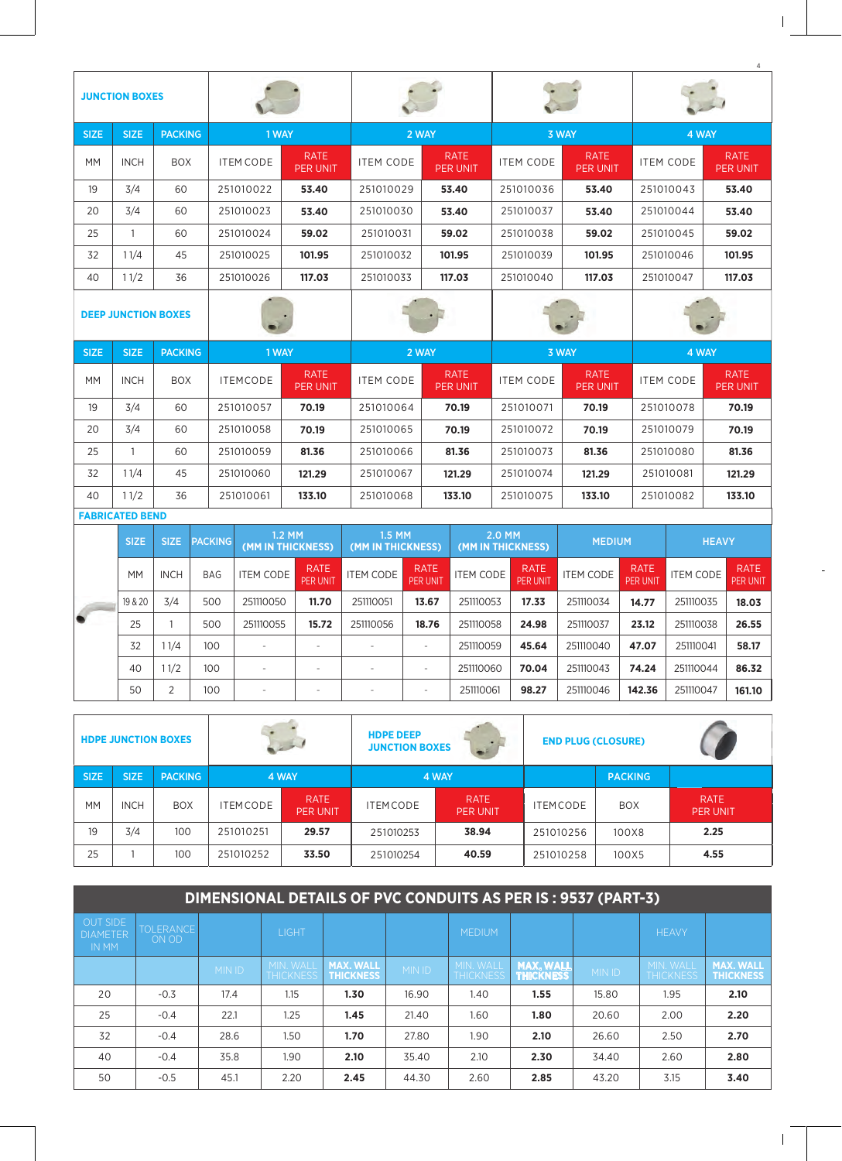| <b>JUNCTION BOXES</b> |                            |                |                  |                                |                     |                                |                     |                                |                     |                                |  |
|-----------------------|----------------------------|----------------|------------------|--------------------------------|---------------------|--------------------------------|---------------------|--------------------------------|---------------------|--------------------------------|--|
| <b>SIZE</b>           | <b>SIZE</b>                | <b>PACKING</b> |                  | 1 WAY                          |                     | 2 WAY                          | 3 WAY               |                                | 4 WAY               |                                |  |
| <b>MM</b>             | <b>INCH</b>                | <b>BOX</b>     | <b>ITEM CODE</b> | <b>RATE</b><br><b>PER UNIT</b> | <b>ITEM CODE</b>    | <b>RATE</b><br><b>PER UNIT</b> | <b>ITEM CODE</b>    | <b>RATE</b><br><b>PER UNIT</b> | <b>ITEM CODE</b>    | <b>RATE</b><br><b>PER UNIT</b> |  |
| 19                    | 3/4                        | 60             | 251010022        | 53.40                          | 251010029           | 53.40                          | 251010036           | 53.40                          | 251010043           | 53.40                          |  |
| 20                    | 3/4                        | 60             | 251010023        | 53.40                          | 251010030           | 53.40                          | 251010037           | 53.40                          | 251010044           | 53.40                          |  |
| 25                    | 1                          | 60             | 251010024        | 59.02                          | 251010031           | 59.02                          | 251010038           | 59.02                          | 251010045           | 59.02                          |  |
| 32                    | 11/4                       | 45             | 251010025        | 101.95                         | 251010032           | 101.95                         | 251010039           | 101.95                         | 251010046           | 101.95                         |  |
| 40                    | 11/2                       | 36             | 251010026        | 117.03                         | 251010033           | 117.03                         | 251010040           | 117.03                         | 251010047           | 117.03                         |  |
|                       | <b>DEEP JUNCTION BOXES</b> |                |                  |                                |                     |                                |                     |                                |                     |                                |  |
| <b>SIZE</b>           | <b>SIZE</b>                | <b>PACKING</b> | 1 WAY            |                                | 2 WAY               |                                | 3 WAY               |                                | 4 WAY               |                                |  |
| <b>MM</b>             | <b>INCH</b>                | <b>BOX</b>     | <b>ITEMCODE</b>  | <b>RATE</b><br><b>PER UNIT</b> | <b>ITEM CODE</b>    | <b>RATE</b><br><b>PER UNIT</b> | <b>ITEM CODE</b>    | <b>RATE</b><br><b>PER UNIT</b> | <b>ITEM CODE</b>    | <b>RATE</b><br><b>PER UNIT</b> |  |
| 19                    | 3/4                        | 60             | 251010057        | 70.19                          | 251010064           | 70.19                          | 251010071           | 70.19                          | 251010078           | 70.19                          |  |
| 20                    | 3/4                        | 60             | 251010058        | 70.19                          | 251010065           | 70.19                          | 251010072           | 70.19                          | 251010079           | 70.19                          |  |
| 25                    | 1                          | 60             | 251010059        | 81.36                          | 251010066           | 81.36                          |                     | 251010073<br>81.36             |                     | 81.36                          |  |
| 32                    | 11/4                       | 45             | 251010060        | 121.29                         | 121.29<br>251010067 |                                | 121.29<br>251010074 |                                | 121.29<br>251010081 |                                |  |

| <b>FABRICATED BEND</b> |             |             |                |                             |                                |                             |                                |                             |                                |                  |                                |                  |                         |
|------------------------|-------------|-------------|----------------|-----------------------------|--------------------------------|-----------------------------|--------------------------------|-----------------------------|--------------------------------|------------------|--------------------------------|------------------|-------------------------|
|                        | <b>SIZE</b> | SIZE:       | <b>PACKING</b> | 1.2 MM<br>(MM IN THICKNESS) |                                | 1.5 MM<br>(MM IN THICKNESS) |                                | 2.0 MM<br>(MM IN THICKNESS) |                                | <b>MEDIUM</b>    |                                | <b>HEAVY</b>     |                         |
|                        | <b>MM</b>   | <b>INCH</b> | <b>BAG</b>     | <b>ITEM CODE</b>            | <b>RATE</b><br><b>PER UNIT</b> | <b>ITEM CODE</b>            | <b>RATE</b><br><b>PER UNIT</b> | <b>ITEM CODE</b>            | <b>RATE</b><br><b>PER UNIT</b> | <b>ITEM CODE</b> | <b>RATE</b><br><b>PER UNIT</b> | <b>ITEM CODE</b> | <b>RATE</b><br>PER UNIT |
|                        | 19 & 20     | 3/4         | 500            | 251110050                   | 11.70                          | 251110051                   | 13.67                          | 251110053                   | 17.33                          | 251110034        | 14.77                          | 251110035        | 18.03                   |
|                        | 25          |             | 500            | 251110055                   | 15.72                          | 251110056                   | 18.76                          | 251110058                   | 24.98                          | 251110037        | 23.12                          | 251110038        | 26.55                   |
|                        | 32          | 1/4         | 100            | $\overline{\phantom{m}}$    | $\overline{\phantom{a}}$       |                             | ۰                              | 251110059                   | 45.64                          | 251110040        | 47.07                          | 251110041        | 58.17                   |
|                        | 40          | 11/2        | 100            | $\overline{\phantom{m}}$    | $\overline{\phantom{a}}$       |                             |                                | 251110060                   | 70.04                          | 251110043        | 74.24                          | 251110044        | 86.32                   |
|                        | 50          | C           | 100            | $\overline{\phantom{a}}$    | $\overline{\phantom{a}}$       |                             |                                | 251110061                   | 98.27                          | 251110046        | 142.36                         | 251110047        | 161.10                  |

133.10

251010075

133.10

251010082

133.10

251010068

40

Ш

 $11/2$ 

36

251010061

133.10

|             |             | <b>HDPE JUNCTION BOXES</b> |                  | $\mathcal{L}$ .                | <b>HDPE DEEP</b><br><b>JUNCTION BOXES</b> | $\bullet$                      | <b>END PLUG (CLOSURE)</b> |                |                                |
|-------------|-------------|----------------------------|------------------|--------------------------------|-------------------------------------------|--------------------------------|---------------------------|----------------|--------------------------------|
| <b>SIZE</b> | <b>SIZE</b> | <b>PACKING</b>             |                  | 4 WAY                          |                                           | 4 WAY                          |                           | <b>PACKING</b> |                                |
| <b>MM</b>   | <b>INCH</b> | <b>BOX</b>                 | <b>ITEM CODE</b> | <b>RATE</b><br><b>PER UNIT</b> | <b>ITEMCODE</b>                           | <b>RATE</b><br><b>PER UNIT</b> | <b>ITEM CODE</b>          | <b>BOX</b>     | <b>RATE</b><br><b>PER UNIT</b> |
| 19          | 3/4         | 100                        | 251010251        | 29.57                          | 251010253                                 | 38.94                          | 251010256                 | 100X8          | 2.25                           |
| 25          |             | 100                        | 251010252        | 33.50                          | 251010254                                 | 40.59                          | 251010258                 | 100X5          | 4.55                           |

|                                                    | DIMENSIONAL DETAILS OF PVC CONDUITS AS PER IS: 9537 (PART-3) |               |                                      |                                      |               |                                      |                                      |               |                               |                                      |  |
|----------------------------------------------------|--------------------------------------------------------------|---------------|--------------------------------------|--------------------------------------|---------------|--------------------------------------|--------------------------------------|---------------|-------------------------------|--------------------------------------|--|
| <b>OUT SIDE</b><br><b>DIAMETER</b><br><b>IN MM</b> | <b>TOLERANCE</b><br>ON OD                                    |               | <b>LIGHT</b>                         |                                      |               | <b>MEDIUM</b>                        |                                      |               | <b>HEAVY</b>                  |                                      |  |
|                                                    |                                                              | <b>MIN ID</b> | <b>MIN. WALL</b><br><b>THICKNESS</b> | <b>MAX. WALL</b><br><b>THICKNESS</b> | <b>MIN ID</b> | <b>MIN. WALL</b><br><b>THICKNESS</b> | <b>MAX. WALL</b><br><b>THICKNESS</b> | <b>MIN ID</b> | MIN. WALL<br><b>THICKNESS</b> | <b>MAX. WALL</b><br><b>THICKNESS</b> |  |
| 20                                                 | $-0.3$                                                       | 17.4          | 1.15                                 | 1.30                                 | 16.90         | 1.40                                 | 1.55                                 | 15.80         | 1.95                          | 2.10                                 |  |
| 25                                                 | $-0.4$                                                       | 22.1          | 1.25                                 | 1.45                                 | 21.40         | 1.60                                 | 1.80                                 | 20.60         | 2.00                          | 2.20                                 |  |
| 32                                                 | $-0.4$                                                       | 28.6          | 1.50                                 | 1.70                                 | 27.80         | 1.90                                 | 2.10                                 | 26.60         | 2.50                          | 2.70                                 |  |
| 40                                                 | $-0.4$                                                       | 35.8          | 1.90                                 | 2.10                                 | 35.40         | 2.10                                 | 2.30                                 | 34.40         | 2.60                          | 2.80                                 |  |
| 50                                                 | $-0.5$                                                       | 45.1          | 2.20                                 | 2.45                                 | 44.30         | 2.60                                 | 2.85                                 | 43.20         | 3.15                          | 3.40                                 |  |

 $\overline{\phantom{a}}$ 

 $\overline{4}$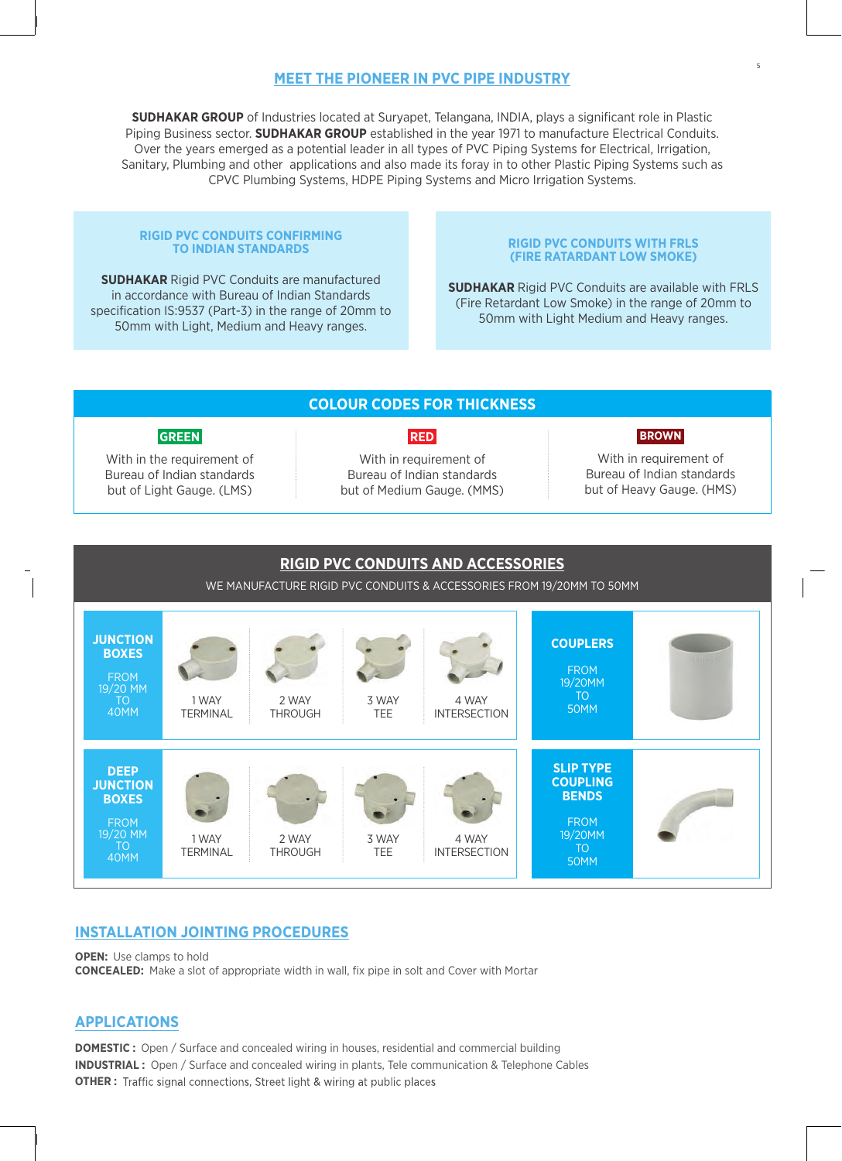## **MEET THE PIONEER IN PVC PIPE INDUSTRY**

**SUDHAKAR GROUP** of Industries located at Suryapet, Telangana, INDIA, plays a significant role in Plastic Piping Business sector. **SUDHAKAR GROUP** established in the year 1971 to manufacture Electrical Conduits. Over the years emerged as a potential leader in all types of PVC Piping Systems for Electrical, Irrigation, Sanitary, Plumbing and other applications and also made its foray in to other Plastic Piping Systems such as CPVC Plumbing Systems, HDPE Piping Systems and Micro Irrigation Systems.

#### **RIGID PVC CONDUITS CONFIRMING TO INDIAN STANDARDS**

**SUDHAKAR** Rigid PVC Conduits are manufactured in accordance with Bureau of Indian Standards specification IS:9537 (Part-3) in the range of 20mm to 50mm with Light, Medium and Heavy ranges.

#### **RIGID PVC CONDUITS WITH FRLS (FIRE RATARDANT LOW SMOKE)**

5

**SUDHAKAR** Rigid PVC Conduits are available with FRLS (Fire Retardant Low Smoke) in the range of 20mm to 50mm with Light Medium and Heavy ranges.





### **INSTALLATION JOINTING PROCEDURES**

**OPEN:** Use clamps to hold **CONCEALED:** Make a slot of appropriate width in wall, fix pipe in solt and Cover with Mortar

## **APPLICATIONS**

**DOMESTIC :** Open / Surface and concealed wiring in houses, residential and commercial building **INDUSTRIAL :** Open / Surface and concealed wiring in plants, Tele communication & Telephone Cables **OTHER :** Traffic signal connections, Street light & wiring at public places